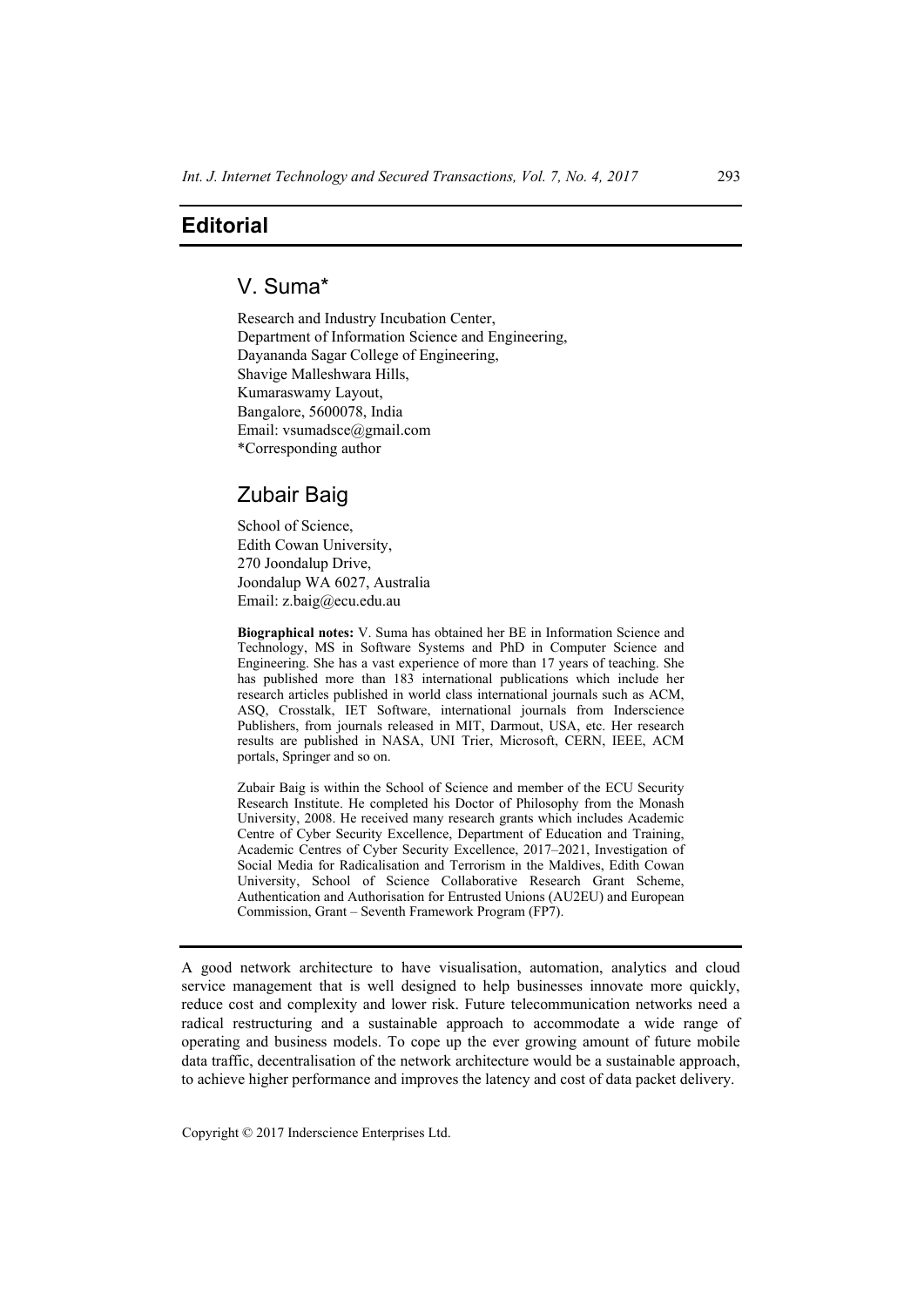## **Editorial**

## V. Suma\*

Research and Industry Incubation Center, Department of Information Science and Engineering, Dayananda Sagar College of Engineering, Shavige Malleshwara Hills, Kumaraswamy Layout, Bangalore, 5600078, India Email: vsumadsce@gmail.com \*Corresponding author

## Zubair Baig

School of Science, Edith Cowan University, 270 Joondalup Drive, Joondalup WA 6027, Australia Email: z.baig@ecu.edu.au

**Biographical notes:** V. Suma has obtained her BE in Information Science and Technology, MS in Software Systems and PhD in Computer Science and Engineering. She has a vast experience of more than 17 years of teaching. She has published more than 183 international publications which include her research articles published in world class international journals such as ACM, ASQ, Crosstalk, IET Software, international journals from Inderscience Publishers, from journals released in MIT, Darmout, USA, etc. Her research results are published in NASA, UNI Trier, Microsoft, CERN, IEEE, ACM portals, Springer and so on.

Zubair Baig is within the School of Science and member of the ECU Security Research Institute. He completed his Doctor of Philosophy from the Monash University, 2008. He received many research grants which includes Academic Centre of Cyber Security Excellence, Department of Education and Training, Academic Centres of Cyber Security Excellence, 2017–2021, Investigation of Social Media for Radicalisation and Terrorism in the Maldives, Edith Cowan University, School of Science Collaborative Research Grant Scheme, Authentication and Authorisation for Entrusted Unions (AU2EU) and European Commission, Grant – Seventh Framework Program (FP7).

A good network architecture to have visualisation, automation, analytics and cloud service management that is well designed to help businesses innovate more quickly, reduce cost and complexity and lower risk. Future telecommunication networks need a radical restructuring and a sustainable approach to accommodate a wide range of operating and business models. To cope up the ever growing amount of future mobile data traffic, decentralisation of the network architecture would be a sustainable approach, to achieve higher performance and improves the latency and cost of data packet delivery.

Copyright © 2017 Inderscience Enterprises Ltd.